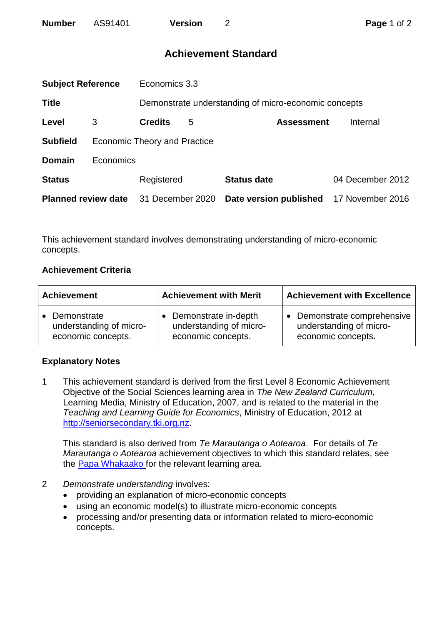# **Achievement Standard**

| <b>Subject Reference</b>   |                              | Economics 3.3    |   |                                                      |                  |  |
|----------------------------|------------------------------|------------------|---|------------------------------------------------------|------------------|--|
| <b>Title</b>               |                              |                  |   | Demonstrate understanding of micro-economic concepts |                  |  |
| Level                      | 3                            | <b>Credits</b>   | 5 | <b>Assessment</b>                                    | Internal         |  |
| <b>Subfield</b>            | Economic Theory and Practice |                  |   |                                                      |                  |  |
| <b>Domain</b>              | Economics                    |                  |   |                                                      |                  |  |
| <b>Status</b>              |                              | Registered       |   | <b>Status date</b>                                   | 04 December 2012 |  |
| <b>Planned review date</b> |                              | 31 December 2020 |   | Date version published                               | 17 November 2016 |  |
|                            |                              |                  |   |                                                      |                  |  |

This achievement standard involves demonstrating understanding of micro-economic concepts.

### **Achievement Criteria**

| <b>Achievement</b>      | <b>Achievement with Merit</b> | <b>Achievement with Excellence</b> |  |
|-------------------------|-------------------------------|------------------------------------|--|
| • Demonstrate           | Demonstrate in-depth          | Demonstrate comprehensive          |  |
| understanding of micro- | understanding of micro-       | understanding of micro-            |  |
| economic concepts.      | economic concepts.            | economic concepts.                 |  |

## **Explanatory Notes**

1 This achievement standard is derived from the first Level 8 Economic Achievement Objective of the Social Sciences learning area in *The New Zealand Curriculum*, Learning Media, Ministry of Education, 2007, and is related to the material in the *Teaching and Learning Guide for Economics*, Ministry of Education, 2012 at [http://seniorsecondary.tki.org.nz.](http://seniorsecondary.tki.org.nz/)

This standard is also derived from *Te Marautanga o Aotearoa*. For details of *Te Marautanga o Aotearoa* achievement objectives to which this standard relates, see the [Papa Whakaako](http://tmoa.tki.org.nz/Te-Marautanga-o-Aotearoa/Taumata-Matauranga-a-Motu-Ka-Taea) for the relevant learning area.

- 2 *Demonstrate understanding* involves:
	- providing an explanation of micro-economic concepts
	- using an economic model(s) to illustrate micro-economic concepts
	- processing and/or presenting data or information related to micro-economic concepts.